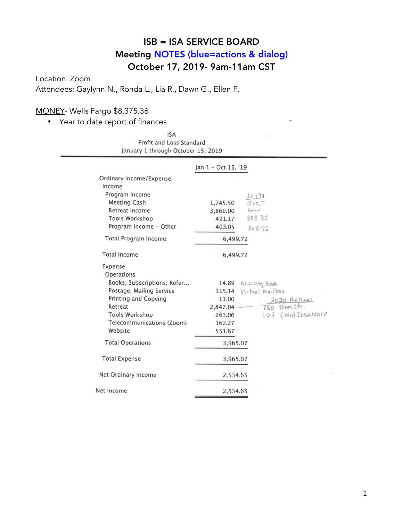# ISB = ISA SERVICE BOARD Meeting NOTES (blue=actions & dialog) October 17, 2019- 9am-11am CST

Location: Zoom Attendees: Gaylynn N., Ronda L., Lia R., Dawn G., Ellen F.

### MONEY- Wells Fargo \$8,375.36

• Year to date report of finances

**ISA** Profit and Loss Standard January 1 through October 15, 2019

|                             | Jan 1 - Oct 15, '19           |
|-----------------------------|-------------------------------|
| Ordinary Income/Expense     |                               |
| Income                      |                               |
| Program Income              | Juy19                         |
| <b>Meeting Cash</b>         | 1,745.50<br>$1210 -$          |
| Retreat Income              | Same<br>3,860.00              |
| <b>Tools Workshop</b>       | 383.35<br>491.17              |
| Program Income - Other      | 403.05<br>303.75              |
| <b>Total Program Income</b> | 6,499.72                      |
| <b>Total Income</b>         | 6,499.72                      |
| Expense                     |                               |
| Operations                  |                               |
| Books, Subscriptions, Refer | 14.89 New Mtg. Book           |
| Postage, Mailing Service    | Virtual Mailbox<br>115.14     |
| <b>Printing and Copying</b> | 11.00<br>2020 Retreat         |
| Retreat                     | 750 Hines Ctr.<br>2,847.04    |
| <b>Tools Workshop</b>       | 104 Event Insurance<br>263.06 |
| Telecommunications (Zoom)   | 162.27                        |
| Website                     | 551.67                        |
| <b>Total Operations</b>     | 3,965.07                      |
| <b>Total Expense</b>        | 3,965.07                      |
| Net Ordinary Income         | 2,534.65                      |
| Net Income                  | 2,534.65                      |
|                             |                               |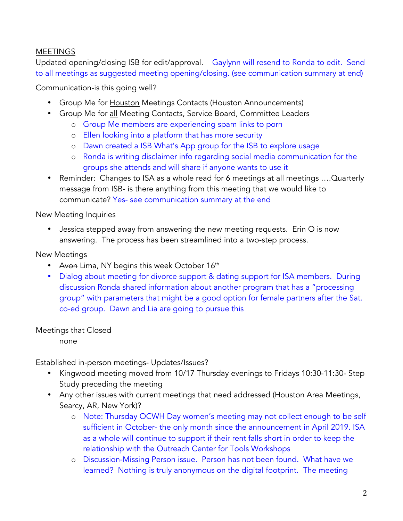## **MEETINGS**

Updated opening/closing ISB for edit/approval. Gaylynn will resend to Ronda to edit. Send to all meetings as suggested meeting opening/closing. (see communication summary at end)

Communication-is this going well?

- Group Me for Houston Meetings Contacts (Houston Announcements)
- Group Me for all Meeting Contacts, Service Board, Committee Leaders
	- o Group Me members are experiencing spam links to porn
	- o Ellen looking into a platform that has more security
	- o Dawn created a ISB What's App group for the ISB to explore usage
	- o Ronda is writing disclaimer info regarding social media communication for the groups she attends and will share if anyone wants to use it
- Reminder: Changes to ISA as a whole read for 6 meetings at all meetings ….Quarterly message from ISB- is there anything from this meeting that we would like to communicate? Yes- see communication summary at the end

New Meeting Inquiries

• Jessica stepped away from answering the new meeting requests. Erin O is now answering. The process has been streamlined into a two-step process.

New Meetings

- Avon Lima, NY begins this week October 16<sup>th</sup>
- Dialog about meeting for divorce support & dating support for ISA members. During discussion Ronda shared information about another program that has a "processing group" with parameters that might be a good option for female partners after the Sat. co-ed group. Dawn and Lia are going to pursue this

Meetings that Closed

none

Established in-person meetings- Updates/Issues?

- Kingwood meeting moved from 10/17 Thursday evenings to Fridays 10:30-11:30- Step Study preceding the meeting
- Any other issues with current meetings that need addressed (Houston Area Meetings, Searcy, AR, New York)?
	- o Note: Thursday OCWH Day women's meeting may not collect enough to be self sufficient in October- the only month since the announcement in April 2019. ISA as a whole will continue to support if their rent falls short in order to keep the relationship with the Outreach Center for Tools Workshops
	- o Discussion-Missing Person issue. Person has not been found. What have we learned? Nothing is truly anonymous on the digital footprint. The meeting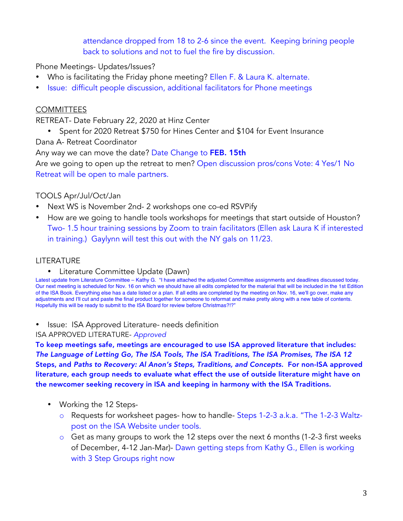attendance dropped from 18 to 2-6 since the event. Keeping brining people back to solutions and not to fuel the fire by discussion.

Phone Meetings- Updates/Issues?

- Who is facilitating the Friday phone meeting? Ellen F. & Laura K. alternate.
- Issue: difficult people discussion, additional facilitators for Phone meetings

#### **COMMITTEES**

RETREAT- Date February 22, 2020 at Hinz Center

• Spent for 2020 Retreat \$750 for Hines Center and \$104 for Event Insurance

Dana A- Retreat Coordinator

Any way we can move the date? Date Change to FEB. 15th

Are we going to open up the retreat to men? Open discussion pros/cons Vote: 4 Yes/1 No Retreat will be open to male partners.

#### TOOLS Apr/Jul/Oct/Jan

- Next WS is November 2nd- 2 workshops one co-ed RSVPify
- How are we going to handle tools workshops for meetings that start outside of Houston? Two- 1.5 hour training sessions by Zoom to train facilitators (Ellen ask Laura K if interested in training.) Gaylynn will test this out with the NY gals on 11/23.

#### LITERATURE

• Literature Committee Update (Dawn)

Latest update from Literature Committee – Kathy G. "I have attached the adjusted Committee assignments and deadlines discussed today. Our next meeting is scheduled for Nov. 16 on which we should have all edits completed for the material that will be included in the 1st Edition of the ISA Book. Everything else has a date listed or a plan. If all edits are completed by the meeting on Nov. 16, we'll go over, make any adjustments and I'll cut and paste the final product together for someone to reformat and make pretty along with a new table of contents. Hopefully this will be ready to submit to the ISA Board for review before Christmas?!?"

• Issue: ISA Approved Literature- needs definition

ISA APPROVED LITERATURE- *Approved*

To keep meetings safe, meetings are encouraged to use ISA approved literature that includes: *The Language of Letting Go, The ISA Tools, The ISA Traditions, The ISA Promises, The ISA 12*  Steps, and *Paths to Recovery: Al Anon's Steps, Traditions, and Concepts*. For non-ISA approved literature, each group needs to evaluate what effect the use of outside literature might have on the newcomer seeking recovery in ISA and keeping in harmony with the ISA Traditions.

- Working the 12 Steps
	- o Requests for worksheet pages- how to handle- Steps 1-2-3 a.k.a. "The 1-2-3 Waltzpost on the ISA Website under tools.
	- $\circ$  Get as many groups to work the 12 steps over the next 6 months (1-2-3 first weeks of December, 4-12 Jan-Mar)- Dawn getting steps from Kathy G., Ellen is working with 3 Step Groups right now